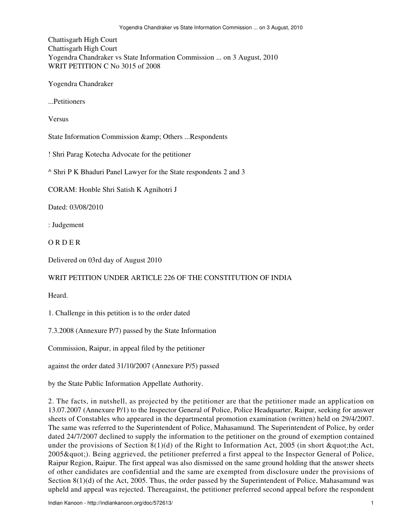Chattisgarh High Court Chattisgarh High Court Yogendra Chandraker vs State Information Commission ... on 3 August, 2010 WRIT PETITION C No 3015 of 2008

Yogendra Chandraker

...Petitioners

Versus

State Information Commission & amp; Others ...Respondents

! Shri Parag Kotecha Advocate for the petitioner

^ Shri P K Bhaduri Panel Lawyer for the State respondents 2 and 3

CORAM: Honble Shri Satish K Agnihotri J

Dated: 03/08/2010

: Judgement

O R D E R

Delivered on 03rd day of August 2010

## WRIT PETITION UNDER ARTICLE 226 OF THE CONSTITUTION OF INDIA

**Heard** 

1. Challenge in this petition is to the order dated

7.3.2008 (Annexure P/7) passed by the State Information

Commission, Raipur, in appeal filed by the petitioner

against the order dated 31/10/2007 (Annexure P/5) passed

by the State Public Information Appellate Authority.

2. The facts, in nutshell, as projected by the petitioner are that the petitioner made an application on 13.07.2007 (Annexure P/1) to the Inspector General of Police, Police Headquarter, Raipur, seeking for answer sheets of Constables who appeared in the departmental promotion examination (written) held on 29/4/2007. The same was referred to the Superintendent of Police, Mahasamund. The Superintendent of Police, by order dated 24/7/2007 declined to supply the information to the petitioner on the ground of exemption contained under the provisions of Section  $8(1)(d)$  of the Right to Information Act, 2005 (in short "the Act, 2005 & quot;). Being aggrieved, the petitioner preferred a first appeal to the Inspector General of Police, Raipur Region, Raipur. The first appeal was also dismissed on the same ground holding that the answer sheets of other candidates are confidential and the same are exempted from disclosure under the provisions of Section 8(1)(d) of the Act, 2005. Thus, the order passed by the Superintendent of Police, Mahasamund was upheld and appeal was rejected. Thereagainst, the petitioner preferred second appeal before the respondent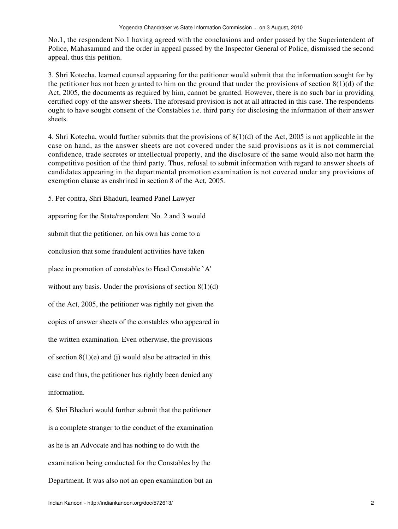No.1, the respondent No.1 having agreed with the conclusions and order passed by the Superintendent of Police, Mahasamund and the order in appeal passed by the Inspector General of Police, dismissed the second appeal, thus this petition.

3. Shri Kotecha, learned counsel appearing for the petitioner would submit that the information sought for by the petitioner has not been granted to him on the ground that under the provisions of section  $8(1)(d)$  of the Act, 2005, the documents as required by him, cannot be granted. However, there is no such bar in providing certified copy of the answer sheets. The aforesaid provision is not at all attracted in this case. The respondents ought to have sought consent of the Constables i.e. third party for disclosing the information of their answer sheets.

4. Shri Kotecha, would further submits that the provisions of 8(1)(d) of the Act, 2005 is not applicable in the case on hand, as the answer sheets are not covered under the said provisions as it is not commercial confidence, trade secretes or intellectual property, and the disclosure of the same would also not harm the competitive position of the third party. Thus, refusal to submit information with regard to answer sheets of candidates appearing in the departmental promotion examination is not covered under any provisions of exemption clause as enshrined in section 8 of the Act, 2005.

5. Per contra, Shri Bhaduri, learned Panel Lawyer

appearing for the State/respondent No. 2 and 3 would

submit that the petitioner, on his own has come to a

conclusion that some fraudulent activities have taken

place in promotion of constables to Head Constable `A'

without any basis. Under the provisions of section  $8(1)(d)$ 

of the Act, 2005, the petitioner was rightly not given the

copies of answer sheets of the constables who appeared in

the written examination. Even otherwise, the provisions

of section  $8(1)(e)$  and (j) would also be attracted in this

case and thus, the petitioner has rightly been denied any information.

6. Shri Bhaduri would further submit that the petitioner is a complete stranger to the conduct of the examination as he is an Advocate and has nothing to do with the examination being conducted for the Constables by the Department. It was also not an open examination but an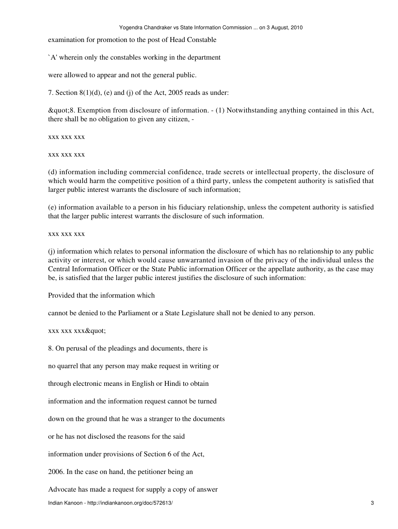examination for promotion to the post of Head Constable

`A' wherein only the constables working in the department

were allowed to appear and not the general public.

7. Section 8(1)(d), (e) and (j) of the Act, 2005 reads as under:

"8. Exemption from disclosure of information. - (1) Notwithstanding anything contained in this Act, there shall be no obligation to given any citizen, -

xxx xxx xxx

xxx xxx xxx

(d) information including commercial confidence, trade secrets or intellectual property, the disclosure of which would harm the competitive position of a third party, unless the competent authority is satisfied that larger public interest warrants the disclosure of such information;

(e) information available to a person in his fiduciary relationship, unless the competent authority is satisfied that the larger public interest warrants the disclosure of such information.

xxx xxx xxx

(j) information which relates to personal information the disclosure of which has no relationship to any public activity or interest, or which would cause unwarranted invasion of the privacy of the individual unless the Central Information Officer or the State Public information Officer or the appellate authority, as the case may be, is satisfied that the larger public interest justifies the disclosure of such information:

Provided that the information which

cannot be denied to the Parliament or a State Legislature shall not be denied to any person.

xxx xxx xxx"

8. On perusal of the pleadings and documents, there is

no quarrel that any person may make request in writing or

through electronic means in English or Hindi to obtain

information and the information request cannot be turned

down on the ground that he was a stranger to the documents

or he has not disclosed the reasons for the said

information under provisions of Section 6 of the Act,

2006. In the case on hand, the petitioner being an

Advocate has made a request for supply a copy of answer